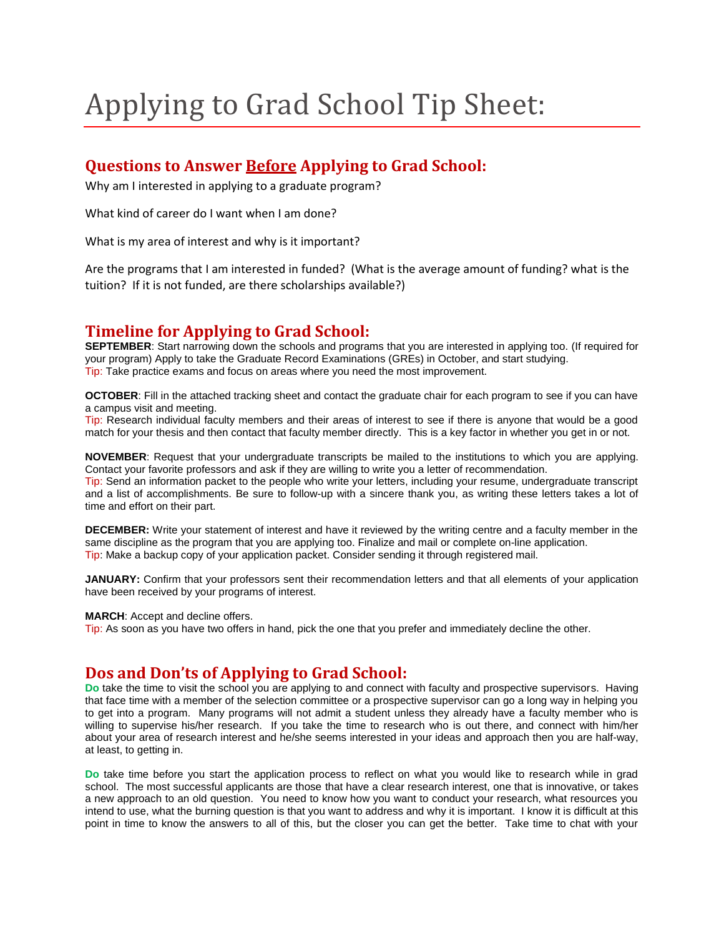# Applying to Grad School Tip Sheet:

## **Questions to Answer Before Applying to Grad School:**

Why am I interested in applying to a graduate program?

What kind of career do I want when I am done?

What is my area of interest and why is it important?

Are the programs that I am interested in funded? (What is the average amount of funding? what is the tuition? If it is not funded, are there scholarships available?)

## **Timeline for Applying to Grad School:**

**SEPTEMBER**: Start narrowing down the schools and programs that you are interested in applying too. (If required for your program) Apply to take the Graduate Record Examinations (GREs) in October, and start studying. Tip: Take practice exams and focus on areas where you need the most improvement.

**OCTOBER**: Fill in the attached tracking sheet and contact the graduate chair for each program to see if you can have a campus visit and meeting.

Tip: Research individual faculty members and their areas of interest to see if there is anyone that would be a good match for your thesis and then contact that faculty member directly. This is a key factor in whether you get in or not.

**NOVEMBER**: Request that your undergraduate transcripts be mailed to the institutions to which you are applying. Contact your favorite professors and ask if they are willing to write you a letter of recommendation.

Tip: Send an information packet to the people who write your letters, including your resume, undergraduate transcript and a list of accomplishments. Be sure to follow-up with a sincere thank you, as writing these letters takes a lot of time and effort on their part.

**DECEMBER:** Write your statement of interest and have it reviewed by the writing centre and a faculty member in the same discipline as the program that you are applying too. Finalize and mail or complete on-line application. Tip: Make a backup copy of your application packet. Consider sending it through registered mail.

**JANUARY:** Confirm that your professors sent their recommendation letters and that all elements of your application have been received by your programs of interest.

**MARCH**: Accept and decline offers.

Tip: As soon as you have two offers in hand, pick the one that you prefer and immediately decline the other.

### **Dos and Don'ts of Applying to Grad School:**

**Do** take the time to visit the school you are applying to and connect with faculty and prospective supervisors. Having that face time with a member of the selection committee or a prospective supervisor can go a long way in helping you to get into a program. Many programs will not admit a student unless they already have a faculty member who is willing to supervise his/her research. If you take the time to research who is out there, and connect with him/her about your area of research interest and he/she seems interested in your ideas and approach then you are half-way, at least, to getting in.

**Do** take time before you start the application process to reflect on what you would like to research while in grad school. The most successful applicants are those that have a clear research interest, one that is innovative, or takes a new approach to an old question. You need to know how you want to conduct your research, what resources you intend to use, what the burning question is that you want to address and why it is important. I know it is difficult at this point in time to know the answers to all of this, but the closer you can get the better. Take time to chat with your